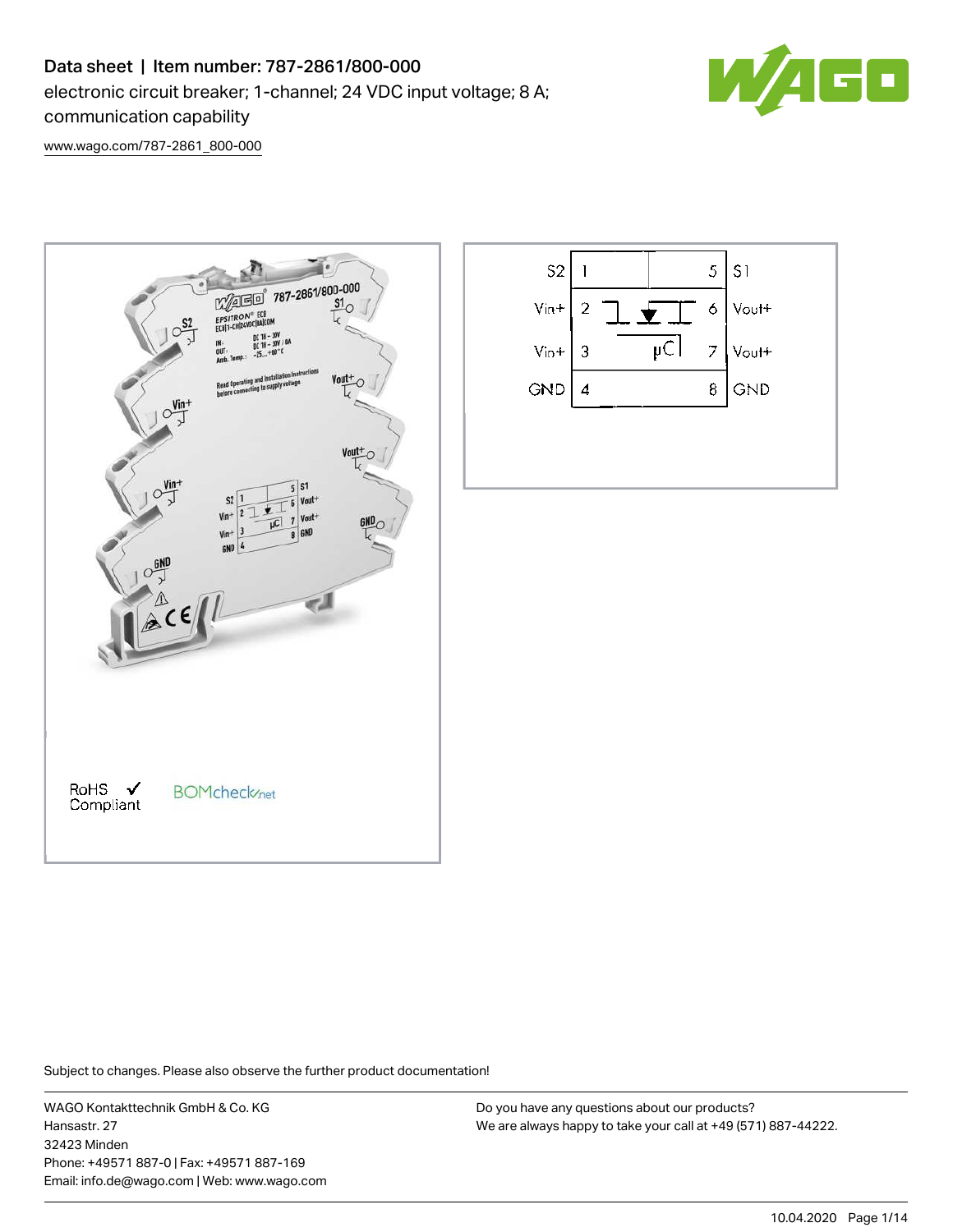# Data sheet | Item number: 787-2861/800-000 electronic circuit breaker; 1-channel; 24 VDC input voltage; 8 A; communication capability



[www.wago.com/787-2861\\_800-000](http://www.wago.com/787-2861_800-000)





Subject to changes. Please also observe the further product documentation!

WAGO Kontakttechnik GmbH & Co. KG Hansastr. 27 32423 Minden Phone: +49571 887-0 | Fax: +49571 887-169 Email: info.de@wago.com | Web: www.wago.com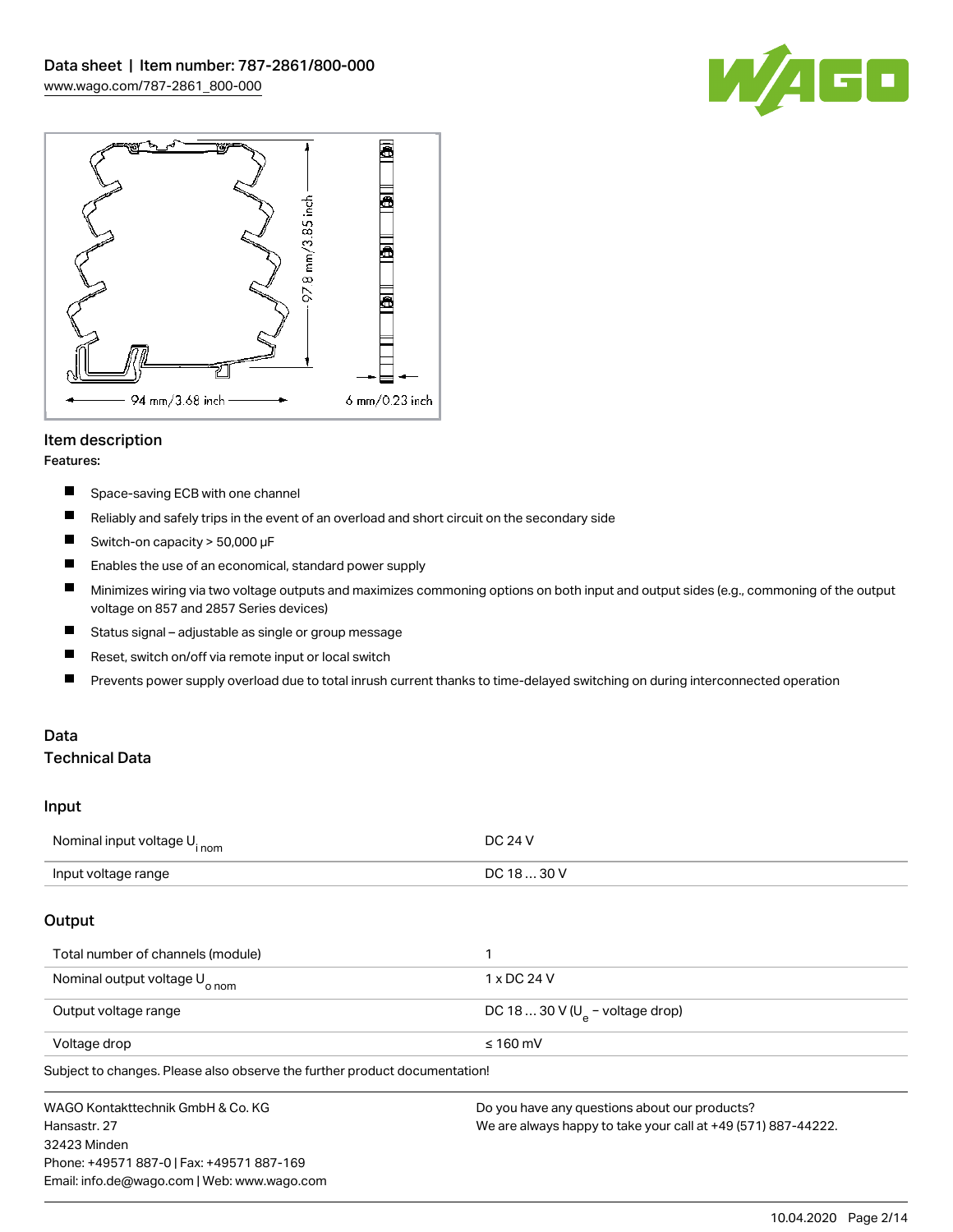



### Item description

#### Features:

- $\blacksquare$ Space-saving ECB with one channel
- $\blacksquare$ Reliably and safely trips in the event of an overload and short circuit on the secondary side
- $\blacksquare$ Switch-on capacity > 50,000 μF
- $\blacksquare$ Enables the use of an economical, standard power supply
- $\blacksquare$ Minimizes wiring via two voltage outputs and maximizes commoning options on both input and output sides (e.g., commoning of the output voltage on 857 and 2857 Series devices)
- $\blacksquare$ Status signal – adjustable as single or group message
- $\blacksquare$ Reset, switch on/off via remote input or local switch
- $\blacksquare$ Prevents power supply overload due to total inrush current thanks to time-delayed switching on during interconnected operation

#### Data Technical Data

#### Input

| Nominal input voltage U <sub>inom</sub>                                    | <b>DC 24 V</b>                                                |  |
|----------------------------------------------------------------------------|---------------------------------------------------------------|--|
| Input voltage range                                                        | DC 18  30 V                                                   |  |
| Output                                                                     |                                                               |  |
| Total number of channels (module)                                          |                                                               |  |
| Nominal output voltage U <sub>o nom</sub>                                  | 1 x DC 24 V                                                   |  |
| Output voltage range                                                       | DC 18  30 V ( $U_a$ – voltage drop)                           |  |
| Voltage drop                                                               | $\leq 160$ mV                                                 |  |
| Subject to changes. Please also observe the further product documentation! |                                                               |  |
| WAGO Kontakttechnik GmbH & Co. KG                                          | Do you have any questions about our products?                 |  |
| Hansastr, 27                                                               | We are always happy to take your call at +49 (571) 887-44222. |  |
| 32423 Minden                                                               |                                                               |  |
| Phone: +49571 887-0   Fax: +49571 887-169                                  |                                                               |  |
| Email: info.de@wago.com   Web: www.wago.com                                |                                                               |  |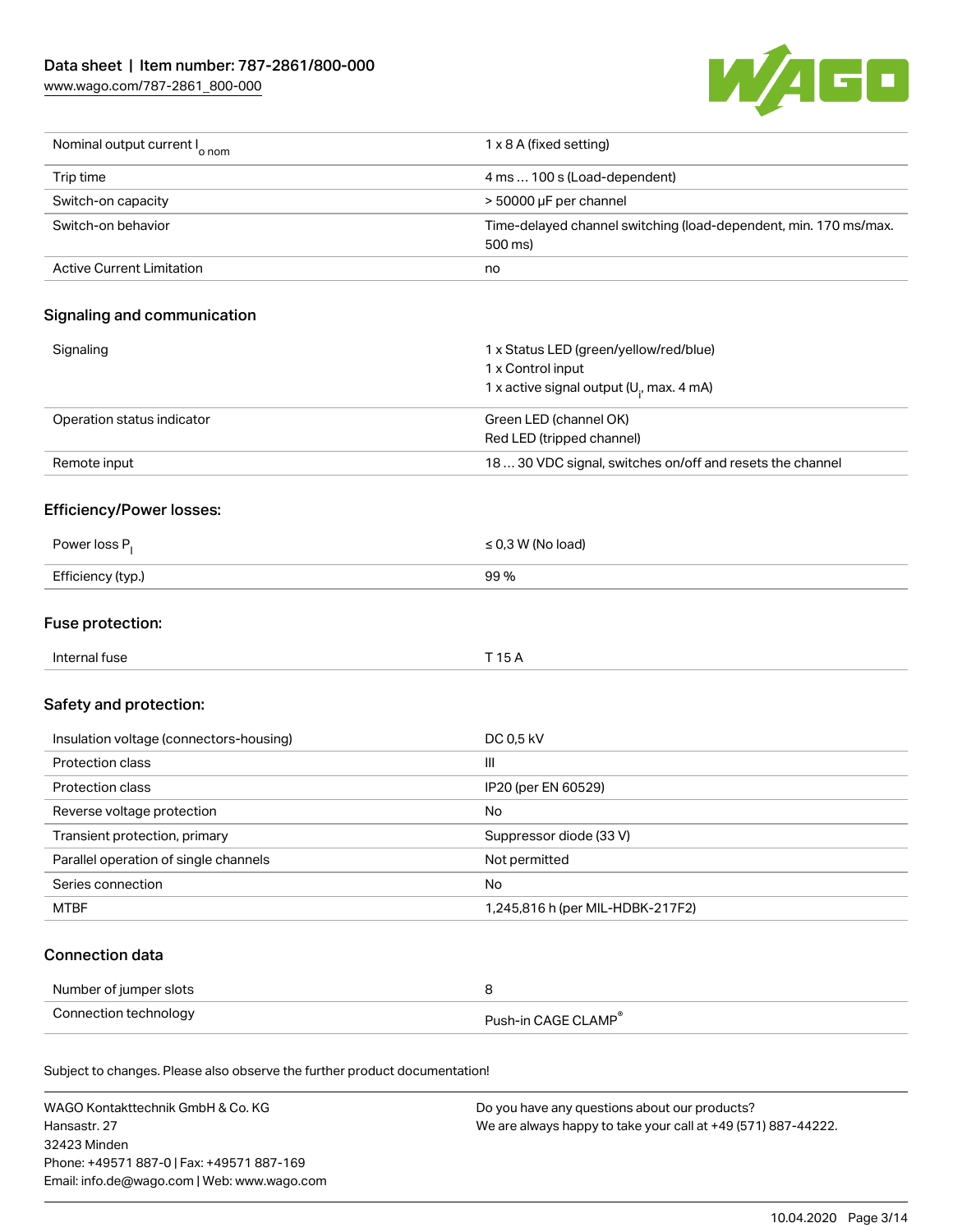[www.wago.com/787-2861\\_800-000](http://www.wago.com/787-2861_800-000)



| Nominal output current I <sub>o nom</sub>                                  | 1 x 8 A (fixed setting)                                                                                      |
|----------------------------------------------------------------------------|--------------------------------------------------------------------------------------------------------------|
| Trip time                                                                  | 4 ms  100 s (Load-dependent)                                                                                 |
| Switch-on capacity                                                         | > 50000 µF per channel                                                                                       |
| Switch-on behavior                                                         | Time-delayed channel switching (load-dependent, min. 170 ms/max.<br>500 ms)                                  |
| <b>Active Current Limitation</b>                                           | no                                                                                                           |
| Signaling and communication                                                |                                                                                                              |
| Signaling                                                                  | 1 x Status LED (green/yellow/red/blue)<br>1 x Control input<br>1 x active signal output ( $U_i$ , max. 4 mA) |
| Operation status indicator                                                 | Green LED (channel OK)<br>Red LED (tripped channel)                                                          |
| Remote input                                                               | 18  30 VDC signal, switches on/off and resets the channel                                                    |
| <b>Efficiency/Power losses:</b>                                            |                                                                                                              |
| Power loss P <sub>1</sub>                                                  | $\leq$ 0,3 W (No load)                                                                                       |
| Efficiency (typ.)                                                          | 99 %                                                                                                         |
| Fuse protection:                                                           |                                                                                                              |
| Internal fuse                                                              | T 15 A                                                                                                       |
| Safety and protection:                                                     |                                                                                                              |
| Insulation voltage (connectors-housing)                                    | DC 0,5 kV                                                                                                    |
| Protection class                                                           | $\mathsf{III}$                                                                                               |
| Protection class                                                           | IP20 (per EN 60529)                                                                                          |
| Reverse voltage protection                                                 | No                                                                                                           |
| Transient protection, primary                                              | Suppressor diode (33 V)                                                                                      |
| Parallel operation of single channels                                      | Not permitted                                                                                                |
| Series connection                                                          | No                                                                                                           |
| <b>MTBF</b>                                                                | 1,245,816 h (per MIL-HDBK-217F2)                                                                             |
| <b>Connection data</b>                                                     |                                                                                                              |
| Number of jumper slots                                                     | 8                                                                                                            |
| Connection technology                                                      | Push-in CAGE CLAMP®                                                                                          |
| Subject to changes. Please also observe the further product documentation! |                                                                                                              |
| $\lambda$                                                                  |                                                                                                              |

WAGO Kontakttechnik GmbH & Co. KG Hansastr. 27 32423 Minden Phone: +49571 887-0 | Fax: +49571 887-169 Email: info.de@wago.com | Web: www.wago.com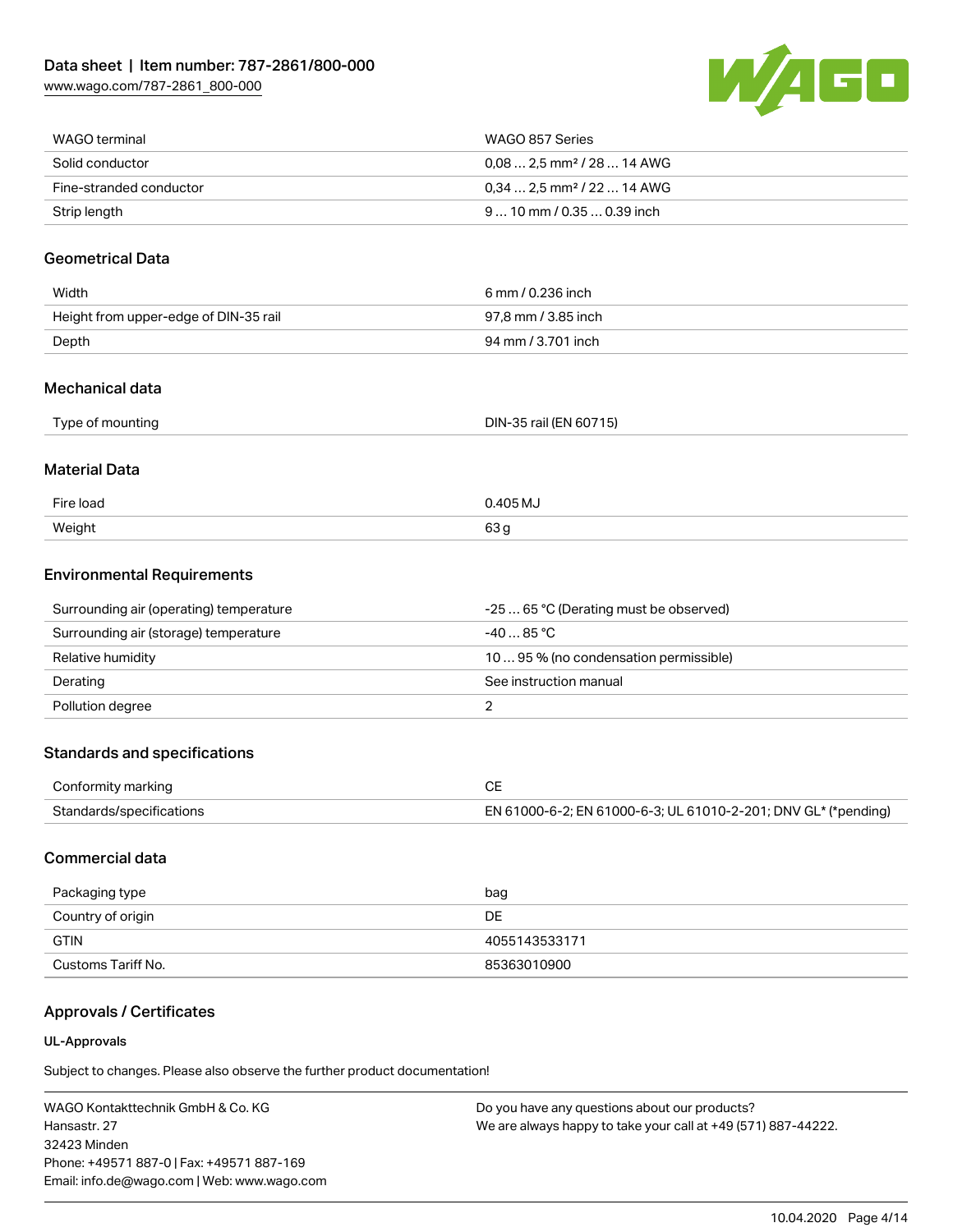

| WAGO terminal           | WAGO 857 Series                         |
|-------------------------|-----------------------------------------|
| Solid conductor         | $0.08$ 2.5 mm <sup>2</sup> / 28  14 AWG |
| Fine-stranded conductor | $0.34$ 2.5 mm <sup>2</sup> / 22  14 AWG |
| Strip length            | $910$ mm / 0.35 $$ 0.39 inch            |

#### Geometrical Data

| Width                                 | 6 mm / 0.236 inch   |
|---------------------------------------|---------------------|
| Height from upper-edge of DIN-35 rail | 97.8 mm / 3.85 inch |
| Depth                                 | 94 mm / 3.701 inch  |

#### Mechanical data

| Type of mounting | DIN-35 rail (EN 60715) |
|------------------|------------------------|
|                  |                        |

#### Material Data

| Fire load | 0.405 M <sub>U</sub> |
|-----------|----------------------|
| Weight    | 63,                  |

#### Environmental Requirements

| Surrounding air (operating) temperature | -25  65 °C (Derating must be observed) |
|-----------------------------------------|----------------------------------------|
| Surrounding air (storage) temperature   | $-4085$ °C.                            |
| Relative humidity                       | 1095 % (no condensation permissible)   |
| Derating                                | See instruction manual                 |
| Pollution degree                        |                                        |

### Standards and specifications

| Conformity marking       |                                                                |
|--------------------------|----------------------------------------------------------------|
| Standards/specifications | EN 61000-6-2; EN 61000-6-3; UL 61010-2-201; DNV GL* (*pending) |

### Commercial data

| Packaging type     | bag           |
|--------------------|---------------|
| Country of origin  | DE            |
| <b>GTIN</b>        | 4055143533171 |
| Customs Tariff No. | 85363010900   |

### Approvals / Certificates

#### UL-Approvals

Subject to changes. Please also observe the further product documentation!

WAGO Kontakttechnik GmbH & Co. KG Hansastr. 27 32423 Minden Phone: +49571 887-0 | Fax: +49571 887-169 Email: info.de@wago.com | Web: www.wago.com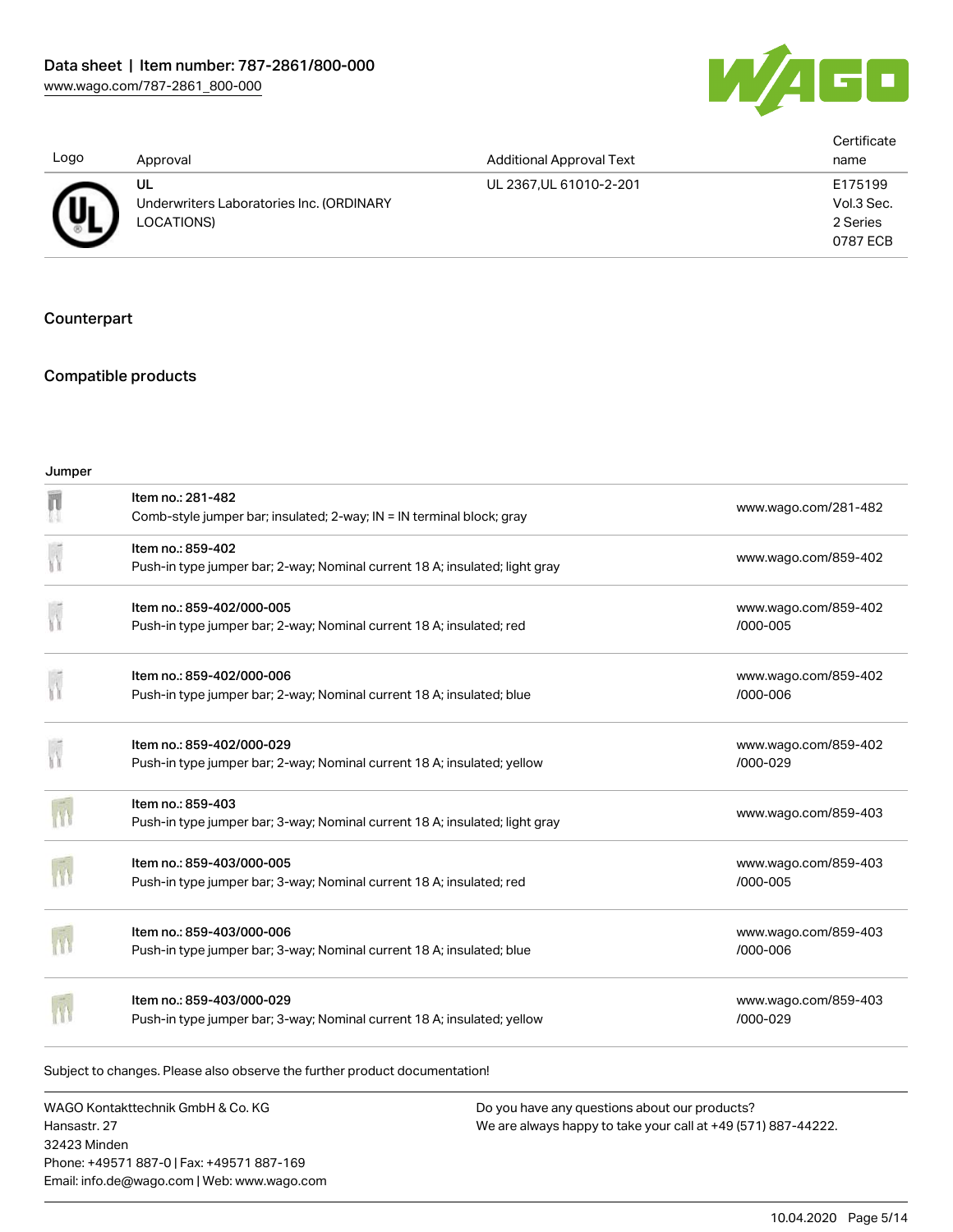

| Logo | Approval                                                     | <b>Additional Approval Text</b> | Certificate<br>name                           |
|------|--------------------------------------------------------------|---------------------------------|-----------------------------------------------|
| (Uı  | UL<br>Underwriters Laboratories Inc. (ORDINARY<br>LOCATIONS) | UL 2367, UL 61010-2-201         | E175199<br>Vol.3 Sec.<br>2 Series<br>0787 ECB |

### **Counterpart**

### Compatible products

| Jumper |                                                                                                      |                                      |
|--------|------------------------------------------------------------------------------------------------------|--------------------------------------|
| π      | Item no.: 281-482<br>Comb-style jumper bar; insulated; 2-way; IN = IN terminal block; gray           | www.wago.com/281-482                 |
|        | Item no.: 859-402<br>Push-in type jumper bar; 2-way; Nominal current 18 A; insulated; light gray     | www.wago.com/859-402                 |
|        | Item no.: 859-402/000-005<br>Push-in type jumper bar; 2-way; Nominal current 18 A; insulated; red    | www.wago.com/859-402<br>/000-005     |
|        | Item no.: 859-402/000-006<br>Push-in type jumper bar; 2-way; Nominal current 18 A; insulated; blue   | www.wago.com/859-402<br>/000-006     |
|        | Item no.: 859-402/000-029<br>Push-in type jumper bar; 2-way; Nominal current 18 A; insulated; yellow | www.wago.com/859-402<br>/000-029     |
|        | Item no.: 859-403<br>Push-in type jumper bar; 3-way; Nominal current 18 A; insulated; light gray     | www.wago.com/859-403                 |
|        | Item no.: 859-403/000-005<br>Push-in type jumper bar; 3-way; Nominal current 18 A; insulated; red    | www.wago.com/859-403<br>/000-005     |
|        | Item no.: 859-403/000-006<br>Push-in type jumper bar; 3-way; Nominal current 18 A; insulated; blue   | www.wago.com/859-403<br>/000-006     |
|        | Item no.: 859-403/000-029<br>Push-in type jumper bar; 3-way; Nominal current 18 A; insulated; yellow | www.wago.com/859-403<br>$/000 - 029$ |

Subject to changes. Please also observe the further product documentation!

WAGO Kontakttechnik GmbH & Co. KG Hansastr. 27 32423 Minden Phone: +49571 887-0 | Fax: +49571 887-169 Email: info.de@wago.com | Web: www.wago.com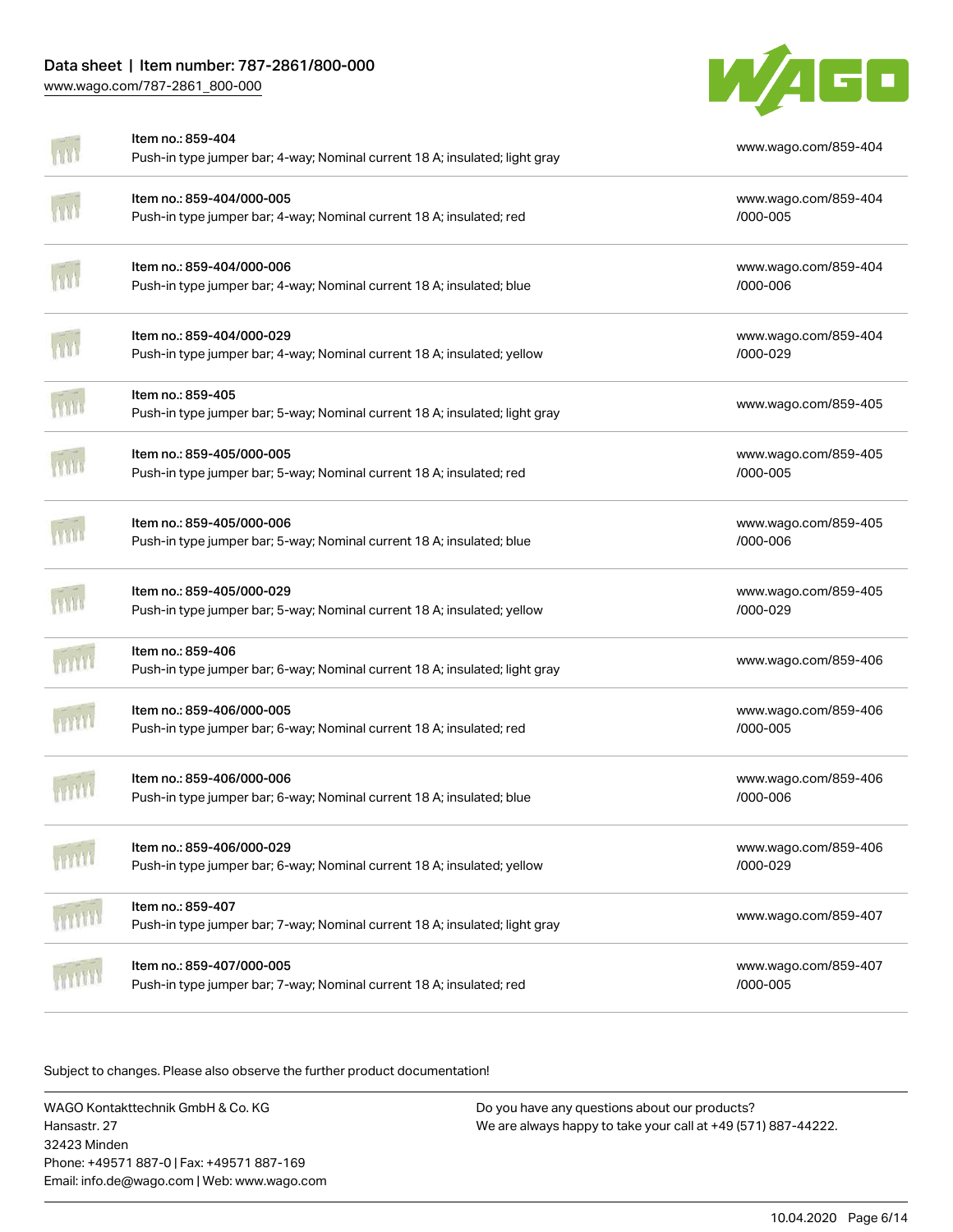## Data sheet | Item number: 787-2861/800-000

[www.wago.com/787-2861\\_800-000](http://www.wago.com/787-2861_800-000)



| Item no.: 859-404<br>Push-in type jumper bar; 4-way; Nominal current 18 A; insulated; light gray     | www.wago.com/859-404             |
|------------------------------------------------------------------------------------------------------|----------------------------------|
| Item no.: 859-404/000-005<br>Push-in type jumper bar; 4-way; Nominal current 18 A; insulated; red    | www.wago.com/859-404<br>/000-005 |
| Item no.: 859-404/000-006<br>Push-in type jumper bar; 4-way; Nominal current 18 A; insulated; blue   | www.wago.com/859-404<br>/000-006 |
| Item no.: 859-404/000-029<br>Push-in type jumper bar; 4-way; Nominal current 18 A; insulated; yellow | www.wago.com/859-404<br>/000-029 |
| Item no.: 859-405<br>Push-in type jumper bar; 5-way; Nominal current 18 A; insulated; light gray     | www.wago.com/859-405             |
| Item no.: 859-405/000-005<br>Push-in type jumper bar; 5-way; Nominal current 18 A; insulated; red    | www.wago.com/859-405<br>/000-005 |
| Item no.: 859-405/000-006<br>Push-in type jumper bar; 5-way; Nominal current 18 A; insulated; blue   | www.wago.com/859-405<br>/000-006 |
| Item no.: 859-405/000-029<br>Push-in type jumper bar; 5-way; Nominal current 18 A; insulated; yellow | www.wago.com/859-405<br>/000-029 |
| Item no.: 859-406<br>Push-in type jumper bar; 6-way; Nominal current 18 A; insulated; light gray     | www.wago.com/859-406             |
| Item no.: 859-406/000-005<br>Push-in type jumper bar; 6-way; Nominal current 18 A; insulated; red    | www.wago.com/859-406<br>/000-005 |
| Item no.: 859-406/000-006<br>Push-in type jumper bar; 6-way; Nominal current 18 A; insulated; blue   | www.wago.com/859-406<br>/000-006 |
| ltem no.: 859-406/000-029<br>Push-in type jumper bar; 6-way; Nominal current 18 A; insulated; yellow | www.wago.com/859-406<br>/000-029 |
| Item no.: 859-407<br>Push-in type jumper bar; 7-way; Nominal current 18 A; insulated; light gray     | www.wago.com/859-407             |
| Item no.: 859-407/000-005<br>Push-in type jumper bar; 7-way; Nominal current 18 A; insulated; red    | www.wago.com/859-407<br>/000-005 |

Subject to changes. Please also observe the further product documentation!

WAGO Kontakttechnik GmbH & Co. KG Hansastr. 27 32423 Minden Phone: +49571 887-0 | Fax: +49571 887-169 Email: info.de@wago.com | Web: www.wago.com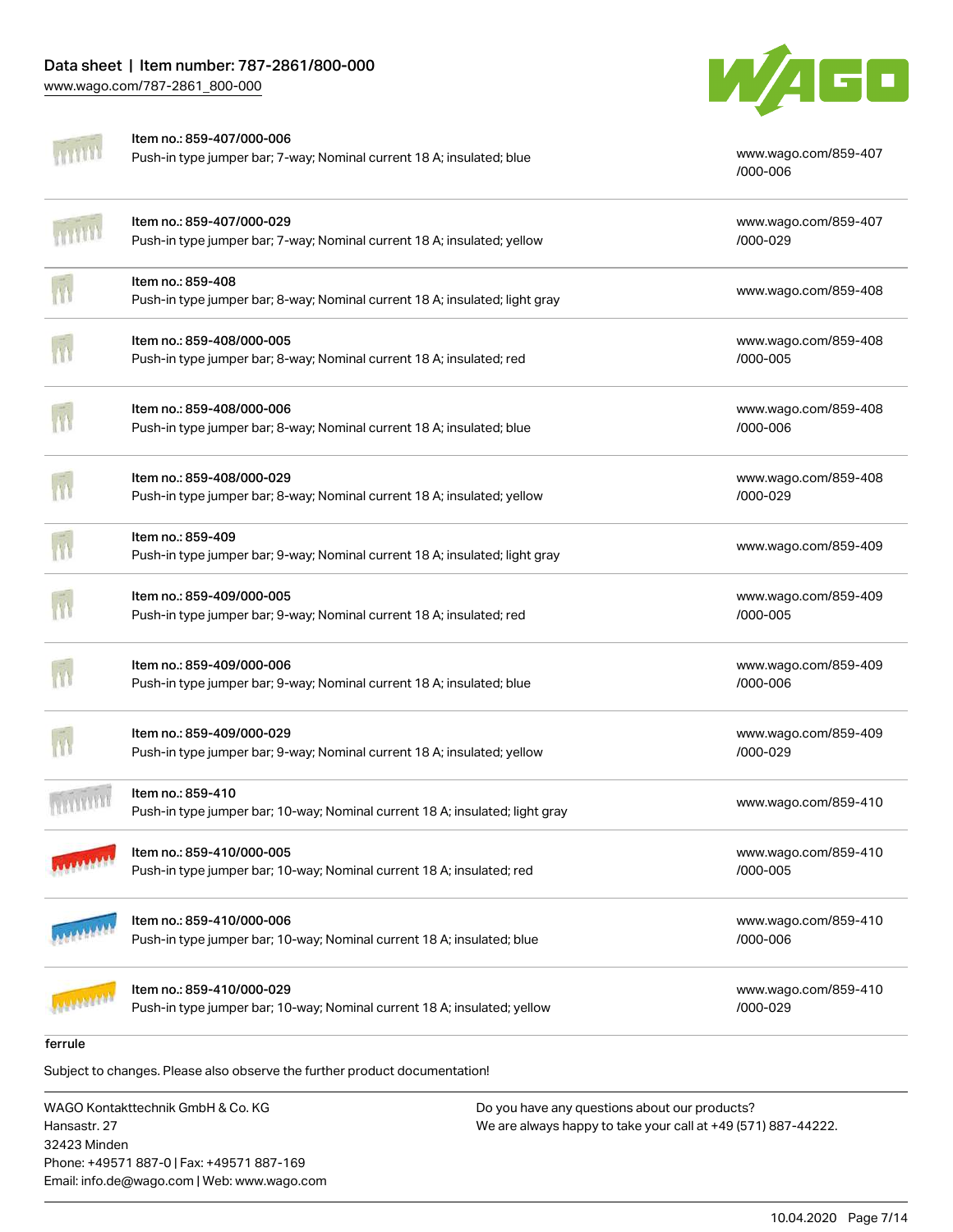

| ferrule |                                                                                                       |                                  |
|---------|-------------------------------------------------------------------------------------------------------|----------------------------------|
|         | Item no.: 859-410/000-029<br>Push-in type jumper bar; 10-way; Nominal current 18 A; insulated; yellow | www.wago.com/859-410<br>/000-029 |
|         | Item no.: 859-410/000-006<br>Push-in type jumper bar; 10-way; Nominal current 18 A; insulated; blue   | www.wago.com/859-410<br>/000-006 |
|         | Item no.: 859-410/000-005<br>Push-in type jumper bar; 10-way; Nominal current 18 A; insulated; red    | www.wago.com/859-410<br>/000-005 |
|         | Item no.: 859-410<br>Push-in type jumper bar; 10-way; Nominal current 18 A; insulated; light gray     | www.wago.com/859-410             |
|         | Item no.: 859-409/000-029<br>Push-in type jumper bar; 9-way; Nominal current 18 A; insulated; yellow  | www.wago.com/859-409<br>/000-029 |
|         | Item no.: 859-409/000-006<br>Push-in type jumper bar; 9-way; Nominal current 18 A; insulated; blue    | www.wago.com/859-409<br>/000-006 |
|         | Item no.: 859-409/000-005<br>Push-in type jumper bar; 9-way; Nominal current 18 A; insulated; red     | www.wago.com/859-409<br>/000-005 |
|         | Item no.: 859-409<br>Push-in type jumper bar; 9-way; Nominal current 18 A; insulated; light gray      | www.wago.com/859-409             |
|         | Item no.: 859-408/000-029<br>Push-in type jumper bar; 8-way; Nominal current 18 A; insulated; yellow  | www.wago.com/859-408<br>/000-029 |
|         | Item no.: 859-408/000-006<br>Push-in type jumper bar; 8-way; Nominal current 18 A; insulated; blue    | www.wago.com/859-408<br>/000-006 |
|         | Item no.: 859-408/000-005<br>Push-in type jumper bar; 8-way; Nominal current 18 A; insulated; red     | www.wago.com/859-408<br>/000-005 |
|         | Item no.: 859-408<br>Push-in type jumper bar; 8-way; Nominal current 18 A; insulated; light gray      | www.wago.com/859-408             |
|         | Item no.: 859-407/000-029<br>Push-in type jumper bar; 7-way; Nominal current 18 A; insulated; yellow  | www.wago.com/859-407<br>/000-029 |
|         | Item no.: 859-407/000-006<br>Push-in type jumper bar; 7-way; Nominal current 18 A; insulated; blue    | www.wago.com/859-407<br>/000-006 |

Subject to changes. Please also observe the further product documentation!

WAGO Kontakttechnik GmbH & Co. KG Hansastr. 27 32423 Minden Phone: +49571 887-0 | Fax: +49571 887-169 Email: info.de@wago.com | Web: www.wago.com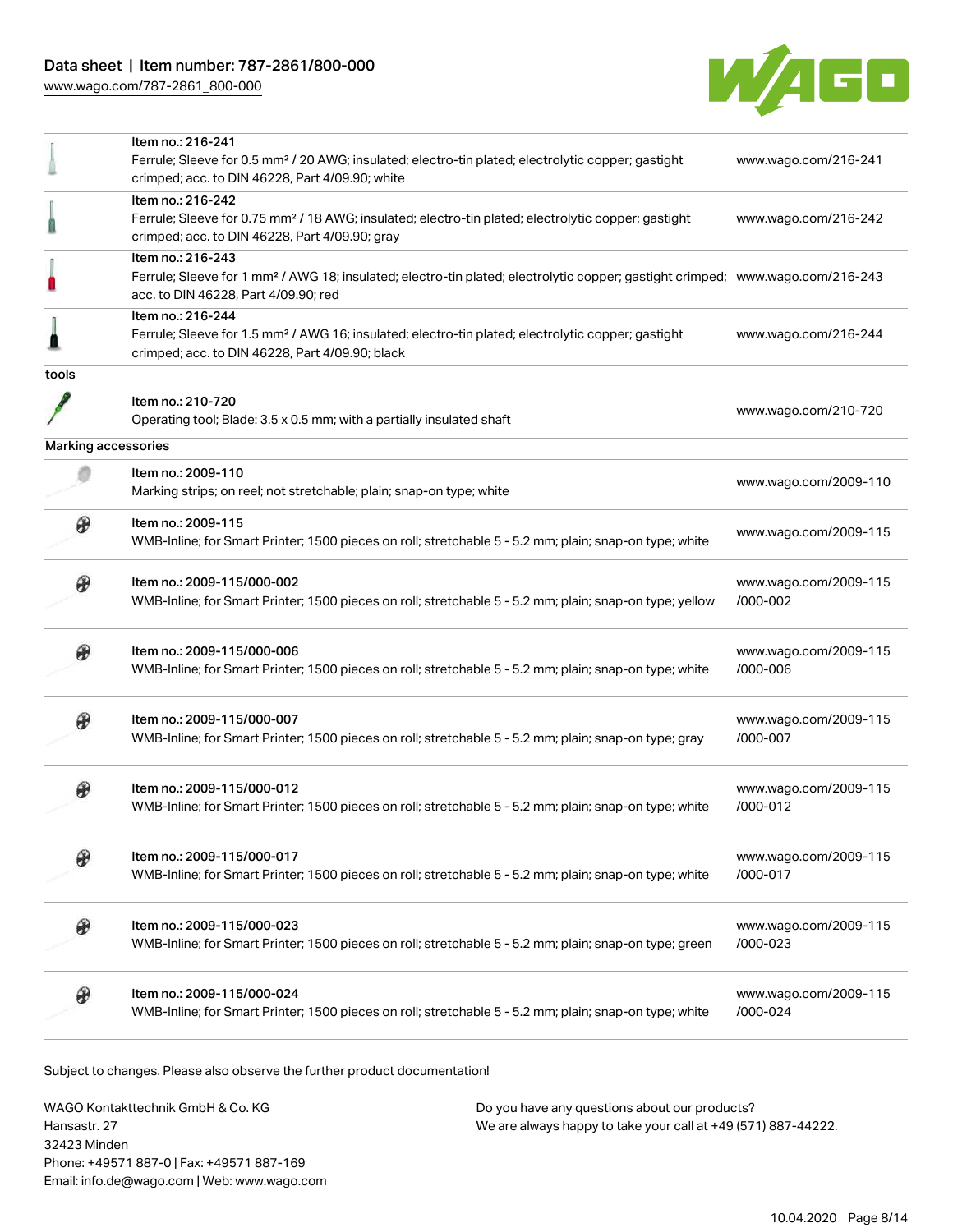

|                     | Item no.: 216-241                                                                                                                                                                  |                       |
|---------------------|------------------------------------------------------------------------------------------------------------------------------------------------------------------------------------|-----------------------|
|                     | Ferrule; Sleeve for 0.5 mm <sup>2</sup> / 20 AWG; insulated; electro-tin plated; electrolytic copper; gastight<br>crimped; acc. to DIN 46228, Part 4/09.90; white                  | www.wago.com/216-241  |
|                     | Item no.: 216-242                                                                                                                                                                  |                       |
|                     | Ferrule; Sleeve for 0.75 mm <sup>2</sup> / 18 AWG; insulated; electro-tin plated; electrolytic copper; gastight<br>crimped; acc. to DIN 46228, Part 4/09.90; gray                  | www.wago.com/216-242  |
|                     | Item no.: 216-243                                                                                                                                                                  |                       |
|                     | Ferrule; Sleeve for 1 mm <sup>2</sup> / AWG 18; insulated; electro-tin plated; electrolytic copper; gastight crimped; www.wago.com/216-243<br>acc. to DIN 46228, Part 4/09.90; red |                       |
|                     | Item no.: 216-244                                                                                                                                                                  |                       |
|                     | Ferrule; Sleeve for 1.5 mm <sup>2</sup> / AWG 16; insulated; electro-tin plated; electrolytic copper; gastight<br>crimped; acc. to DIN 46228, Part 4/09.90; black                  | www.wago.com/216-244  |
| tools               |                                                                                                                                                                                    |                       |
|                     | Item no.: 210-720                                                                                                                                                                  |                       |
|                     | Operating tool; Blade: 3.5 x 0.5 mm; with a partially insulated shaft                                                                                                              | www.wago.com/210-720  |
| Marking accessories |                                                                                                                                                                                    |                       |
|                     |                                                                                                                                                                                    |                       |
|                     | Item no.: 2009-110<br>Marking strips; on reel; not stretchable; plain; snap-on type; white                                                                                         | www.wago.com/2009-110 |
|                     | Item no.: 2009-115                                                                                                                                                                 |                       |
|                     | WMB-Inline; for Smart Printer; 1500 pieces on roll; stretchable 5 - 5.2 mm; plain; snap-on type; white                                                                             | www.wago.com/2009-115 |
|                     | Item no.: 2009-115/000-002                                                                                                                                                         | www.wago.com/2009-115 |
|                     | WMB-Inline; for Smart Printer; 1500 pieces on roll; stretchable 5 - 5.2 mm; plain; snap-on type; yellow                                                                            | /000-002              |
|                     | Item no.: 2009-115/000-006                                                                                                                                                         | www.wago.com/2009-115 |
|                     | WMB-Inline; for Smart Printer; 1500 pieces on roll; stretchable 5 - 5.2 mm; plain; snap-on type; white                                                                             | /000-006              |
|                     | Item no.: 2009-115/000-007                                                                                                                                                         | www.wago.com/2009-115 |
|                     | WMB-Inline; for Smart Printer; 1500 pieces on roll; stretchable 5 - 5.2 mm; plain; snap-on type; gray                                                                              | /000-007              |
|                     | Item no.: 2009-115/000-012                                                                                                                                                         | www.wago.com/2009-115 |
|                     | WMB-Inline; for Smart Printer; 1500 pieces on roll; stretchable 5 - 5.2 mm; plain; snap-on type; white                                                                             | /000-012              |
|                     | Item no.: 2009-115/000-017                                                                                                                                                         | www.wago.com/2009-115 |
|                     | WMB-Inline; for Smart Printer; 1500 pieces on roll; stretchable 5 - 5.2 mm; plain; snap-on type; white                                                                             | /000-017              |
|                     | Item no.: 2009-115/000-023                                                                                                                                                         | www.wago.com/2009-115 |
|                     | WMB-Inline; for Smart Printer; 1500 pieces on roll; stretchable 5 - 5.2 mm; plain; snap-on type; green                                                                             | $/000 - 023$          |
|                     | Item no.: 2009-115/000-024                                                                                                                                                         | www.wago.com/2009-115 |
|                     | WMB-Inline; for Smart Printer; 1500 pieces on roll; stretchable 5 - 5.2 mm; plain; snap-on type; white                                                                             | /000-024              |

Subject to changes. Please also observe the further product documentation!

WAGO Kontakttechnik GmbH & Co. KG Hansastr. 27 32423 Minden Phone: +49571 887-0 | Fax: +49571 887-169 Email: info.de@wago.com | Web: www.wago.com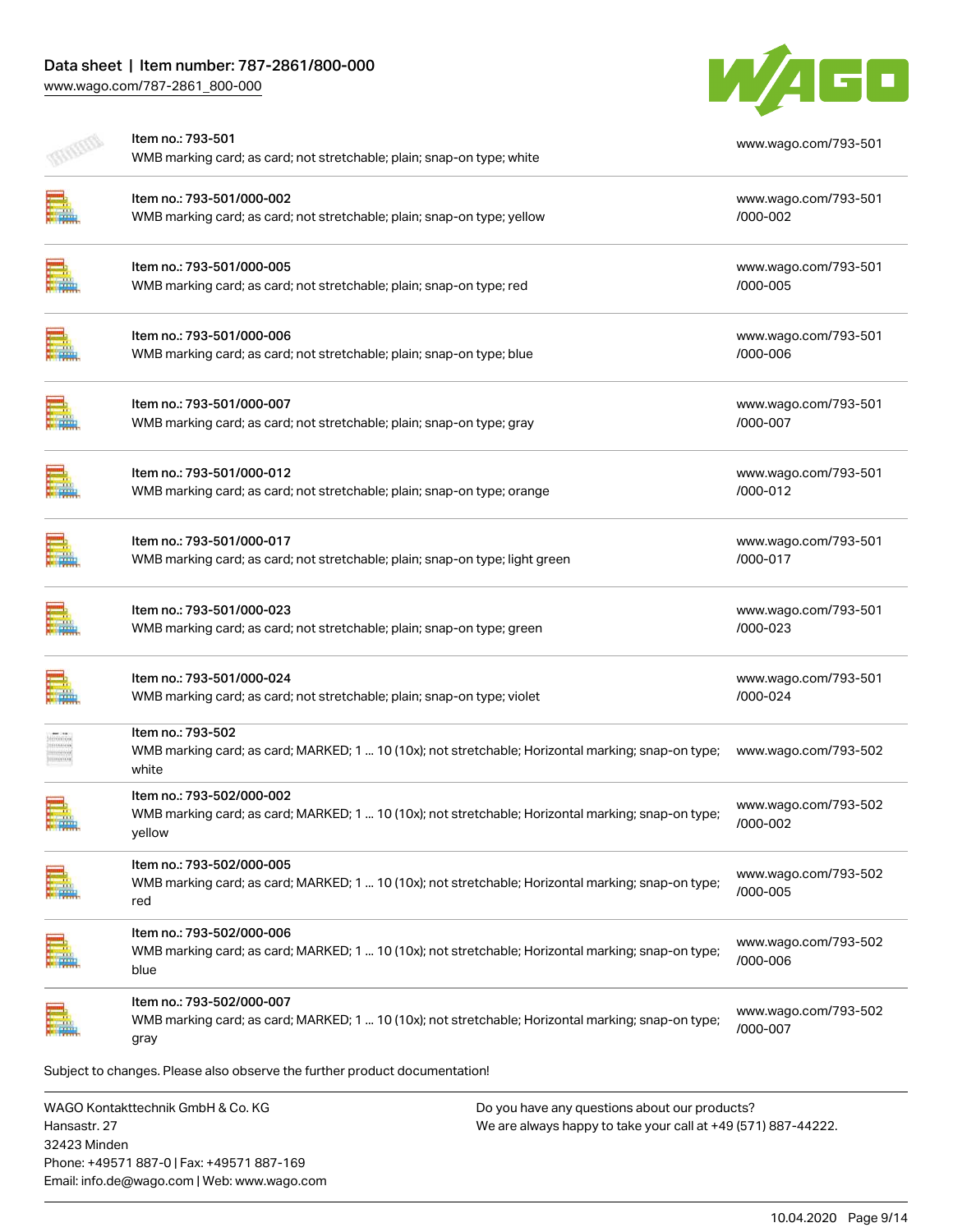# Data sheet | Item number: 787-2861/800-000

[www.wago.com/787-2861\\_800-000](http://www.wago.com/787-2861_800-000)



| Item no.: 793-501<br>WMB marking card; as card; not stretchable; plain; snap-on type; white                                               | www.wago.com/793-501             |
|-------------------------------------------------------------------------------------------------------------------------------------------|----------------------------------|
| Item no.: 793-501/000-002<br>WMB marking card; as card; not stretchable; plain; snap-on type; yellow                                      | www.wago.com/793-501<br>/000-002 |
| Item no.: 793-501/000-005<br>WMB marking card; as card; not stretchable; plain; snap-on type; red                                         | www.wago.com/793-501<br>/000-005 |
| Item no.: 793-501/000-006<br>WMB marking card; as card; not stretchable; plain; snap-on type; blue                                        | www.wago.com/793-501<br>/000-006 |
| Item no.: 793-501/000-007<br>WMB marking card; as card; not stretchable; plain; snap-on type; gray                                        | www.wago.com/793-501<br>/000-007 |
| Item no.: 793-501/000-012<br>WMB marking card; as card; not stretchable; plain; snap-on type; orange                                      | www.wago.com/793-501<br>/000-012 |
| Item no.: 793-501/000-017<br>WMB marking card; as card; not stretchable; plain; snap-on type; light green                                 | www.wago.com/793-501<br>/000-017 |
| Item no.: 793-501/000-023<br>WMB marking card; as card; not stretchable; plain; snap-on type; green                                       | www.wago.com/793-501<br>/000-023 |
| Item no.: 793-501/000-024<br>WMB marking card; as card; not stretchable; plain; snap-on type; violet                                      | www.wago.com/793-501<br>/000-024 |
| Item no.: 793-502<br>WMB marking card; as card; MARKED; 1  10 (10x); not stretchable; Horizontal marking; snap-on type;<br>white          | www.wago.com/793-502             |
| Item no.: 793-502/000-002<br>WMB marking card; as card; MARKED; 1  10 (10x); not stretchable; Horizontal marking; snap-on type;<br>yellow | www.wago.com/793-502<br>/000-002 |
| Item no.: 793-502/000-005<br>WMB marking card; as card; MARKED; 1  10 (10x); not stretchable; Horizontal marking; snap-on type;<br>red    | www.wago.com/793-502<br>/000-005 |
| Item no.: 793-502/000-006<br>WMB marking card; as card; MARKED; 1  10 (10x); not stretchable; Horizontal marking; snap-on type;<br>blue   | www.wago.com/793-502<br>/000-006 |
| Item no.: 793-502/000-007<br>WMB marking card; as card; MARKED; 1  10 (10x); not stretchable; Horizontal marking; snap-on type;<br>gray   | www.wago.com/793-502<br>/000-007 |
| Subject to changes. Please also observe the further product documentation!                                                                |                                  |
| WAGO Kontakttechnik GmbH & Co. KG<br>Do you have any questions about our products?                                                        |                                  |

Hansastr. 27 32423 Minden Phone: +49571 887-0 | Fax: +49571 887-169 Email: info.de@wago.com | Web: www.wago.com We are always happy to take your call at +49 (571) 887-44222.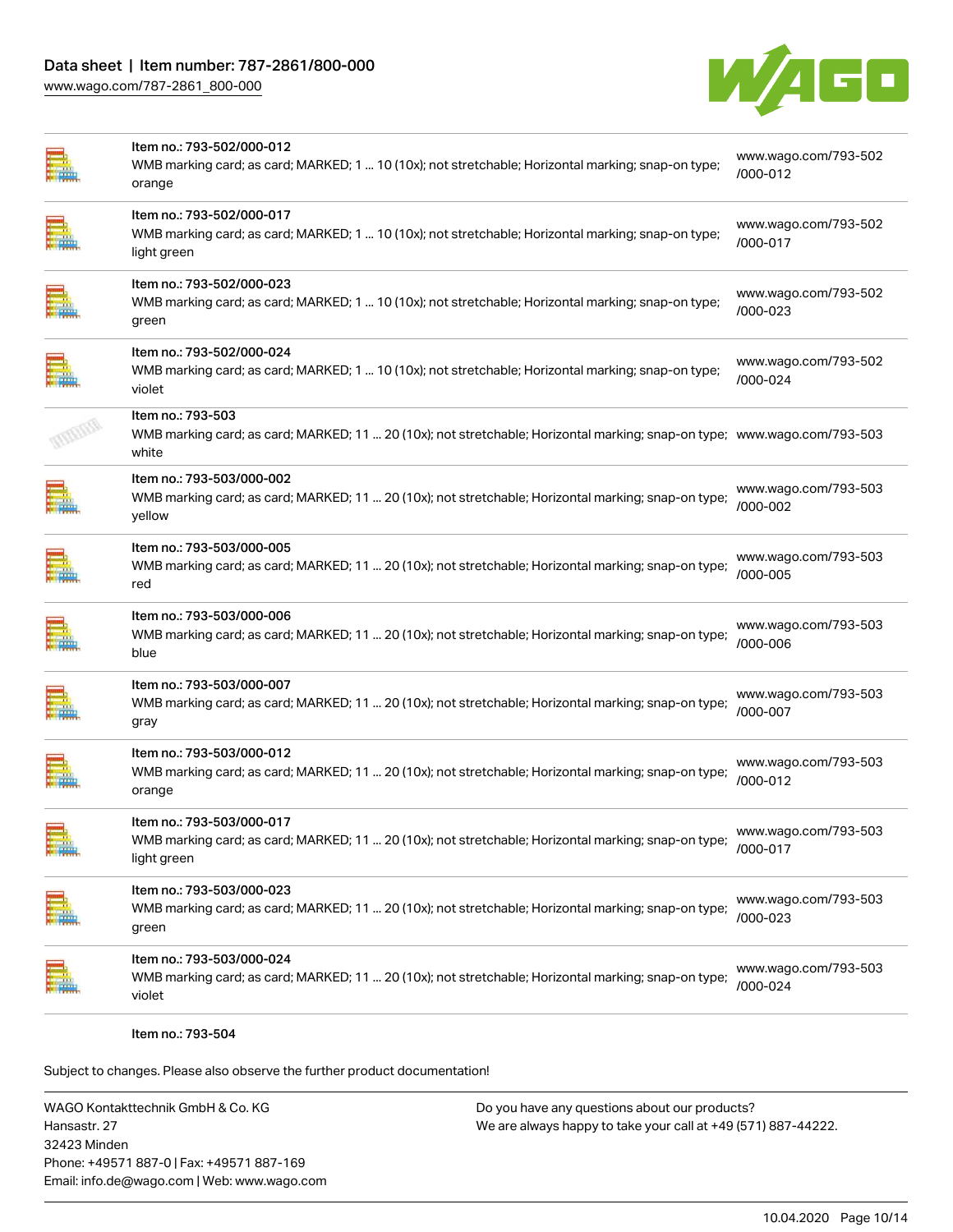

| Item no.: 793-502/000-012<br>WMB marking card; as card; MARKED; 1  10 (10x); not stretchable; Horizontal marking; snap-on type;<br>orange              | www.wago.com/793-502<br>/000-012 |
|--------------------------------------------------------------------------------------------------------------------------------------------------------|----------------------------------|
| Item no.: 793-502/000-017<br>WMB marking card; as card; MARKED; 1  10 (10x); not stretchable; Horizontal marking; snap-on type;<br>light green         | www.wago.com/793-502<br>/000-017 |
| Item no.: 793-502/000-023<br>WMB marking card; as card; MARKED; 1  10 (10x); not stretchable; Horizontal marking; snap-on type;<br>green               | www.wago.com/793-502<br>/000-023 |
| Item no.: 793-502/000-024<br>WMB marking card; as card; MARKED; 1  10 (10x); not stretchable; Horizontal marking; snap-on type;<br>violet              | www.wago.com/793-502<br>/000-024 |
| Item no.: 793-503<br>WMB marking card; as card; MARKED; 11  20 (10x); not stretchable; Horizontal marking; snap-on type; www.wago.com/793-503<br>white |                                  |
| Item no.: 793-503/000-002<br>WMB marking card; as card; MARKED; 11  20 (10x); not stretchable; Horizontal marking; snap-on type;<br>yellow             | www.wago.com/793-503<br>/000-002 |
| Item no.: 793-503/000-005<br>WMB marking card; as card; MARKED; 11  20 (10x); not stretchable; Horizontal marking; snap-on type;<br>red                | www.wago.com/793-503<br>/000-005 |
| Item no.: 793-503/000-006<br>WMB marking card; as card; MARKED; 11  20 (10x); not stretchable; Horizontal marking; snap-on type;<br>blue               | www.wago.com/793-503<br>/000-006 |
| Item no.: 793-503/000-007<br>WMB marking card; as card; MARKED; 11  20 (10x); not stretchable; Horizontal marking; snap-on type;<br>gray               | www.wago.com/793-503<br>/000-007 |
| Item no.: 793-503/000-012<br>WMB marking card; as card; MARKED; 11  20 (10x); not stretchable; Horizontal marking; snap-on type;<br>orange             | www.wago.com/793-503<br>/000-012 |
| Item no.: 793-503/000-017<br>WMB marking card; as card; MARKED; 11  20 (10x); not stretchable; Horizontal marking; snap-on type;<br>light green        | www.wago.com/793-503<br>/000-017 |
| Item no.: 793-503/000-023<br>WMB marking card; as card; MARKED; 11  20 (10x); not stretchable; Horizontal marking; snap-on type;<br>green              | www.wago.com/793-503<br>/000-023 |
| Item no.: 793-503/000-024<br>WMB marking card; as card; MARKED; 11  20 (10x); not stretchable; Horizontal marking; snap-on type;<br>violet             | www.wago.com/793-503<br>/000-024 |
|                                                                                                                                                        |                                  |

Item no.: 793-504

Subject to changes. Please also observe the further product documentation!

WAGO Kontakttechnik GmbH & Co. KG Hansastr. 27 32423 Minden Phone: +49571 887-0 | Fax: +49571 887-169 Email: info.de@wago.com | Web: www.wago.com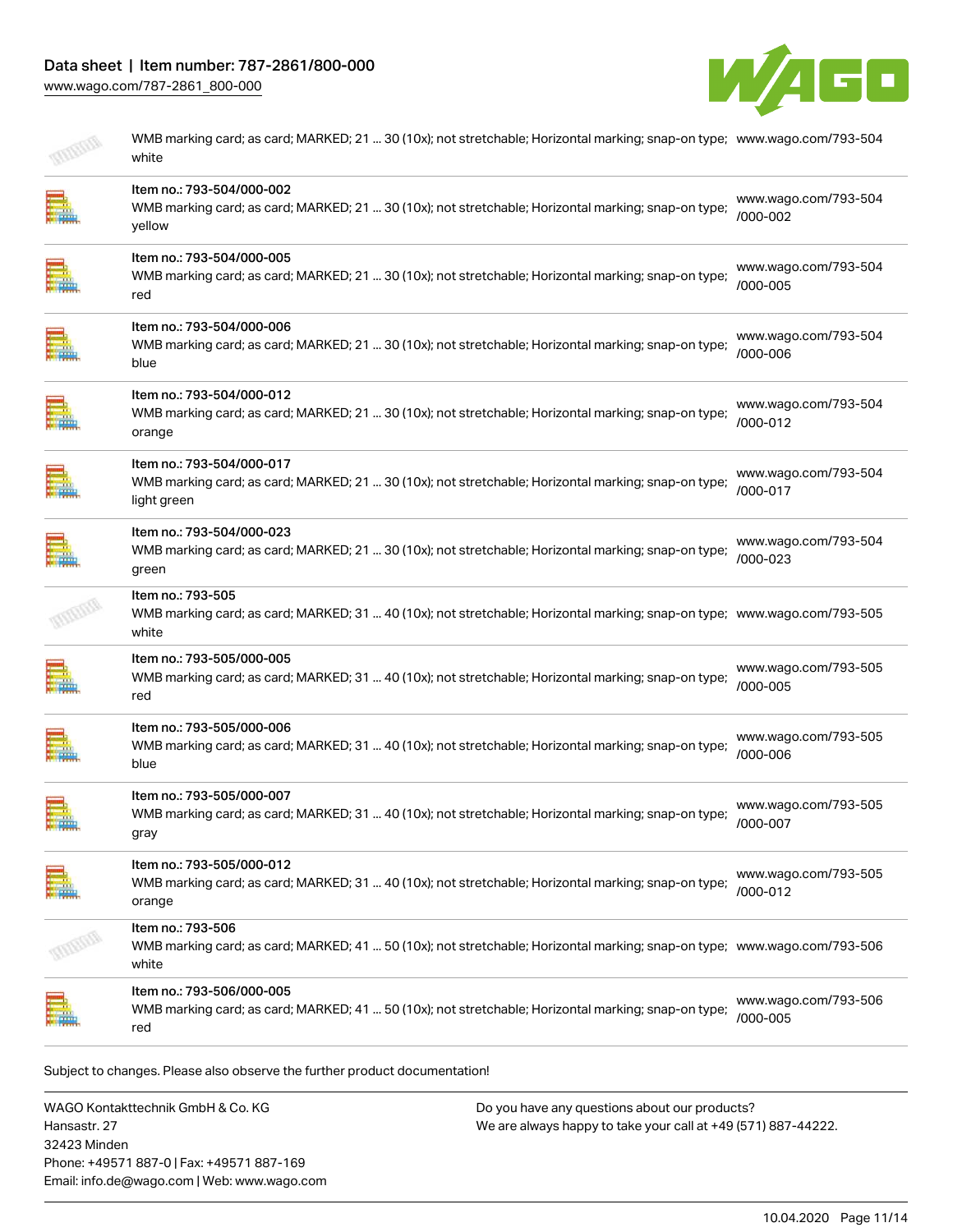

| WMB marking card; as card; MARKED; 21  30 (10x); not stretchable; Horizontal marking; snap-on type; www.wago.com/793-504<br>white                      |                                  |
|--------------------------------------------------------------------------------------------------------------------------------------------------------|----------------------------------|
| Item no.: 793-504/000-002<br>WMB marking card; as card; MARKED; 21  30 (10x); not stretchable; Horizontal marking; snap-on type;<br>yellow             | www.wago.com/793-504<br>/000-002 |
| Item no.: 793-504/000-005<br>WMB marking card; as card; MARKED; 21  30 (10x); not stretchable; Horizontal marking; snap-on type;<br>red                | www.wago.com/793-504<br>/000-005 |
| Item no.: 793-504/000-006<br>WMB marking card; as card; MARKED; 21  30 (10x); not stretchable; Horizontal marking; snap-on type;<br>blue               | www.wago.com/793-504<br>/000-006 |
| Item no.: 793-504/000-012<br>WMB marking card; as card; MARKED; 21  30 (10x); not stretchable; Horizontal marking; snap-on type;<br>orange             | www.wago.com/793-504<br>/000-012 |
| Item no.: 793-504/000-017<br>WMB marking card; as card; MARKED; 21  30 (10x); not stretchable; Horizontal marking; snap-on type;<br>light green        | www.wago.com/793-504<br>/000-017 |
| Item no.: 793-504/000-023<br>WMB marking card; as card; MARKED; 21  30 (10x); not stretchable; Horizontal marking; snap-on type;<br>green              | www.wago.com/793-504<br>/000-023 |
| Item no.: 793-505<br>WMB marking card; as card; MARKED; 31  40 (10x); not stretchable; Horizontal marking; snap-on type; www.wago.com/793-505<br>white |                                  |
| Item no.: 793-505/000-005<br>WMB marking card; as card; MARKED; 31  40 (10x); not stretchable; Horizontal marking; snap-on type;<br>red                | www.wago.com/793-505<br>/000-005 |
| Item no.: 793-505/000-006<br>WMB marking card; as card; MARKED; 31  40 (10x); not stretchable; Horizontal marking; snap-on type;<br>blue               | www.wago.com/793-505<br>/000-006 |
| Item no.: 793-505/000-007<br>WMB marking card; as card; MARKED; 31  40 (10x); not stretchable; Horizontal marking; snap-on type;<br>gray               | www.wago.com/793-505<br>/000-007 |
| Item no.: 793-505/000-012<br>WMB marking card; as card; MARKED; 31  40 (10x); not stretchable; Horizontal marking; snap-on type;<br>orange             | www.wago.com/793-505<br>/000-012 |
| Item no.: 793-506<br>WMB marking card; as card; MARKED; 41  50 (10x); not stretchable; Horizontal marking; snap-on type; www.wago.com/793-506<br>white |                                  |
| Item no.: 793-506/000-005<br>WMB marking card; as card; MARKED; 41  50 (10x); not stretchable; Horizontal marking; snap-on type;<br>red                | www.wago.com/793-506<br>/000-005 |

WAGO Kontakttechnik GmbH & Co. KG Hansastr. 27 32423 Minden Phone: +49571 887-0 | Fax: +49571 887-169 Email: info.de@wago.com | Web: www.wago.com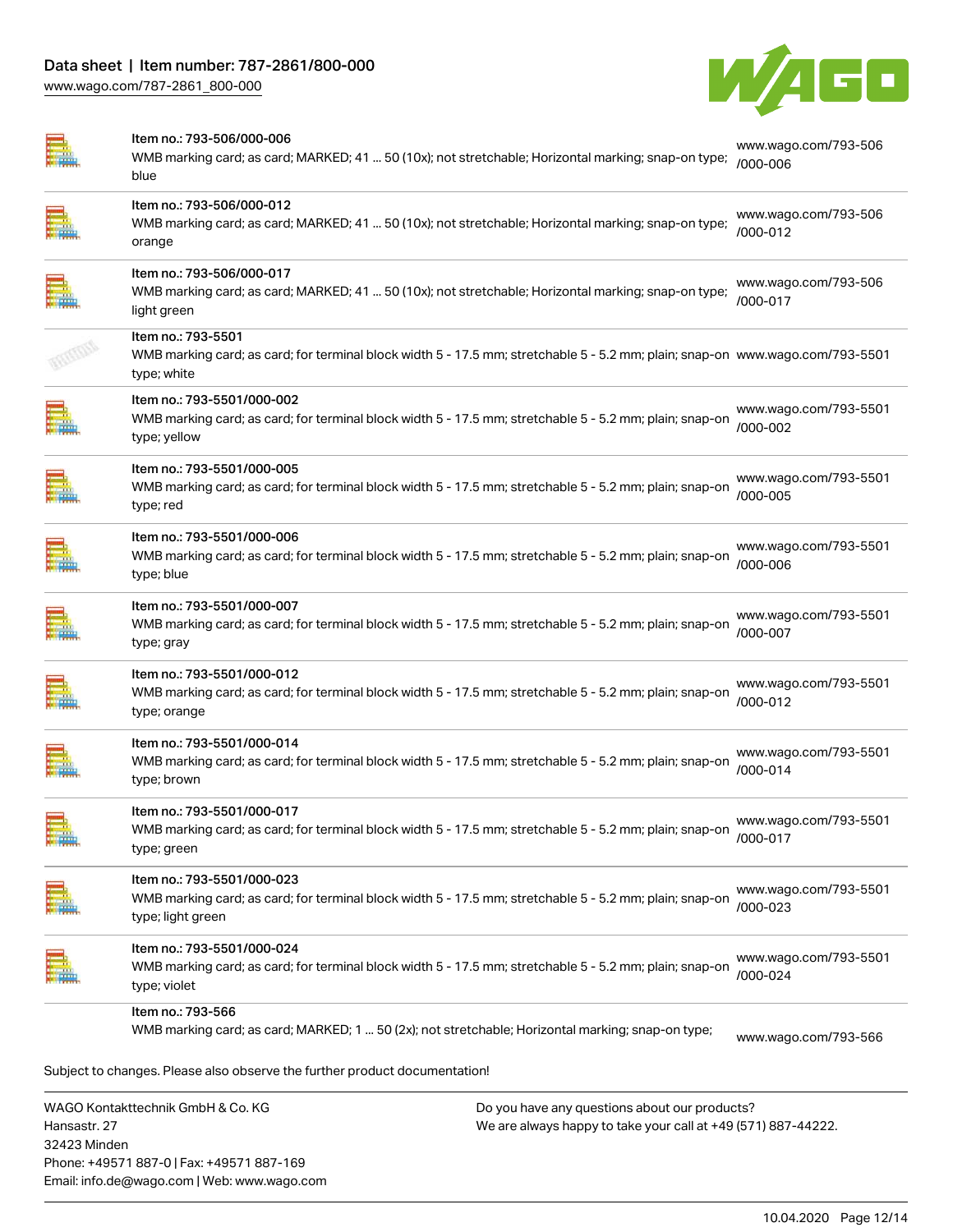32423 Minden

Phone: +49571 887-0 | Fax: +49571 887-169 Email: info.de@wago.com | Web: www.wago.com



|                    | Item no.: 793-506/000-006<br>WMB marking card; as card; MARKED; 41  50 (10x); not stretchable; Horizontal marking; snap-on type;<br>blue                           |                                                                                                                | www.wago.com/793-506<br>/000-006      |
|--------------------|--------------------------------------------------------------------------------------------------------------------------------------------------------------------|----------------------------------------------------------------------------------------------------------------|---------------------------------------|
|                    | Item no.: 793-506/000-012<br>WMB marking card; as card; MARKED; 41  50 (10x); not stretchable; Horizontal marking; snap-on type;<br>orange                         |                                                                                                                | www.wago.com/793-506<br>/000-012      |
| E.                 | Item no.: 793-506/000-017<br>WMB marking card; as card; MARKED; 41  50 (10x); not stretchable; Horizontal marking; snap-on type;<br>light green                    |                                                                                                                | www.wago.com/793-506<br>/000-017      |
|                    | Item no.: 793-5501<br>WMB marking card; as card; for terminal block width 5 - 17.5 mm; stretchable 5 - 5.2 mm; plain; snap-on www.wago.com/793-5501<br>type; white |                                                                                                                |                                       |
|                    | Item no.: 793-5501/000-002<br>WMB marking card; as card; for terminal block width 5 - 17.5 mm; stretchable 5 - 5.2 mm; plain; snap-on<br>type; yellow              |                                                                                                                | www.wago.com/793-5501<br>/000-002     |
|                    | Item no.: 793-5501/000-005<br>WMB marking card; as card; for terminal block width 5 - 17.5 mm; stretchable 5 - 5.2 mm; plain; snap-on<br>type; red                 |                                                                                                                | www.wago.com/793-5501<br>/000-005     |
|                    | Item no.: 793-5501/000-006<br>WMB marking card; as card; for terminal block width 5 - 17.5 mm; stretchable 5 - 5.2 mm; plain; snap-on<br>type; blue                |                                                                                                                | www.wago.com/793-5501<br>/000-006     |
|                    | Item no.: 793-5501/000-007<br>WMB marking card; as card; for terminal block width 5 - 17.5 mm; stretchable 5 - 5.2 mm; plain; snap-on<br>type; gray                |                                                                                                                | www.wago.com/793-5501<br>/000-007     |
|                    | Item no.: 793-5501/000-012<br>WMB marking card; as card; for terminal block width 5 - 17.5 mm; stretchable 5 - 5.2 mm; plain; snap-on<br>type; orange              |                                                                                                                | www.wago.com/793-5501<br>/000-012     |
|                    | Item no.: 793-5501/000-014<br>WMB marking card; as card; for terminal block width 5 - 17.5 mm; stretchable 5 - 5.2 mm; plain; snap-on<br>type; brown               |                                                                                                                | www.wago.com/793-5501<br>$/000 - 014$ |
| ⋿<br><b>Andrew</b> | Item no.: 793-5501/000-017<br>WMB marking card; as card; for terminal block width 5 - 17.5 mm; stretchable 5 - 5.2 mm; plain; snap-on<br>type; green               |                                                                                                                | www.wago.com/793-5501<br>/000-017     |
|                    | Item no.: 793-5501/000-023<br>WMB marking card; as card; for terminal block width 5 - 17.5 mm; stretchable 5 - 5.2 mm; plain; snap-on<br>type; light green         |                                                                                                                | www.wago.com/793-5501<br>/000-023     |
|                    | Item no.: 793-5501/000-024<br>WMB marking card; as card; for terminal block width 5 - 17.5 mm; stretchable 5 - 5.2 mm; plain; snap-on<br>type; violet              |                                                                                                                | www.wago.com/793-5501<br>/000-024     |
|                    | Item no.: 793-566                                                                                                                                                  |                                                                                                                |                                       |
|                    | WMB marking card; as card; MARKED; 1  50 (2x); not stretchable; Horizontal marking; snap-on type;                                                                  |                                                                                                                | www.wago.com/793-566                  |
|                    | Subject to changes. Please also observe the further product documentation!                                                                                         |                                                                                                                |                                       |
| Hansastr. 27       | WAGO Kontakttechnik GmbH & Co. KG                                                                                                                                  | Do you have any questions about our products?<br>We are always happy to take your call at +49 (571) 887-44222. |                                       |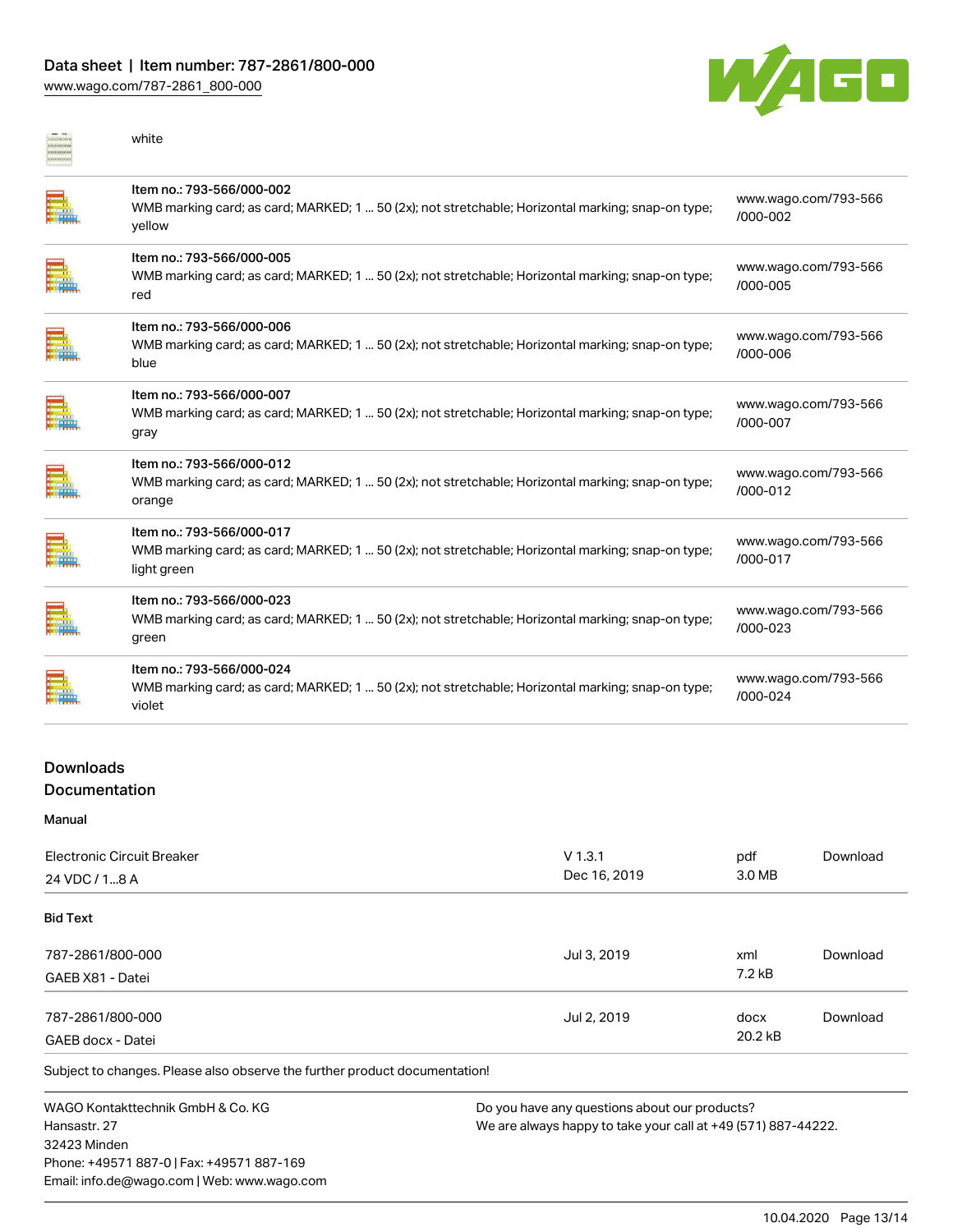### Data sheet | Item number: 787-2861/800-000

[www.wago.com/787-2861\\_800-000](http://www.wago.com/787-2861_800-000)



| white                                                                                                                                         |                                      |
|-----------------------------------------------------------------------------------------------------------------------------------------------|--------------------------------------|
| Item no.: 793-566/000-002<br>WMB marking card; as card; MARKED; 1  50 (2x); not stretchable; Horizontal marking; snap-on type;<br>yellow      | www.wago.com/793-566<br>/000-002     |
| Item no.: 793-566/000-005<br>WMB marking card; as card; MARKED; 1  50 (2x); not stretchable; Horizontal marking; snap-on type;<br>red         | www.wago.com/793-566<br>$/000 - 005$ |
| Item no.: 793-566/000-006<br>WMB marking card; as card; MARKED; 1  50 (2x); not stretchable; Horizontal marking; snap-on type;<br>blue        | www.wago.com/793-566<br>/000-006     |
| Item no.: 793-566/000-007<br>WMB marking card; as card; MARKED; 1  50 (2x); not stretchable; Horizontal marking; snap-on type;<br>gray        | www.wago.com/793-566<br>/000-007     |
| Item no.: 793-566/000-012<br>WMB marking card; as card; MARKED; 1  50 (2x); not stretchable; Horizontal marking; snap-on type;<br>orange      | www.wago.com/793-566<br>$/000 - 012$ |
| Item no.: 793-566/000-017<br>WMB marking card; as card; MARKED; 1  50 (2x); not stretchable; Horizontal marking; snap-on type;<br>light green | www.wago.com/793-566<br>/000-017     |
| Item no.: 793-566/000-023<br>WMB marking card; as card; MARKED; 1  50 (2x); not stretchable; Horizontal marking; snap-on type;<br>green       | www.wago.com/793-566<br>$/000 - 023$ |
| Item no.: 793-566/000-024<br>WMB marking card; as card; MARKED; 1  50 (2x); not stretchable; Horizontal marking; snap-on type;<br>violet      | www.wago.com/793-566<br>$/000 - 024$ |
|                                                                                                                                               |                                      |

### Downloads Documentation

Manual

| Electronic Circuit Breaker<br>24 VDC / 18 A | $V$ 1.3.1<br>Dec 16, 2019 | pdf<br>3.0 MB   | Download |
|---------------------------------------------|---------------------------|-----------------|----------|
| <b>Bid Text</b>                             |                           |                 |          |
| 787-2861/800-000<br>GAEB X81 - Datei        | Jul 3, 2019               | xml<br>$7.2$ kB | Download |
| 787-2861/800-000<br>GAEB docx - Datei       | Jul 2, 2019               | docx<br>20.2 kB | Download |

Subject to changes. Please also observe the further product documentation!

WAGO Kontakttechnik GmbH & Co. KG Hansastr. 27 32423 Minden Phone: +49571 887-0 | Fax: +49571 887-169 Email: info.de@wago.com | Web: www.wago.com